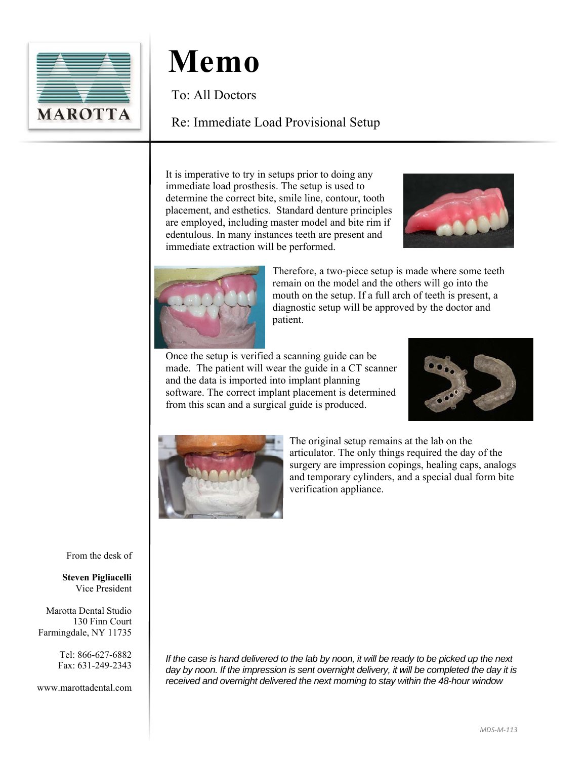

To: All Doctors

#### Re: Immediate Load Provisional Setup

It is imperative to try in setups prior to doing any immediate load prosthesis. The setup is used to determine the correct bite, smile line, contour, tooth placement, and esthetics. Standard denture principles are employed, including master model and bite rim if edentulous. In many instances teeth are present and immediate extraction will be performed.





Therefore, a two-piece setup is made where some teeth remain on the model and the others will go into the mouth on the setup. If a full arch of teeth is present, a diagnostic setup will be approved by the doctor and patient.

Once the setup is verified a scanning guide can be made. The patient will wear the guide in a CT scanner and the data is imported into implant planning software. The correct implant placement is determined from this scan and a surgical guide is produced.





The original setup remains at the lab on the articulator. The only things required the day of the surgery are impression copings, healing caps, analogs and temporary cylinders, and a special dual form bite verification appliance.

From the desk of

**Steven Pigliacelli**  Vice President

Marotta Dental Studio 130 Finn Court Farmingdale, NY 11735

> Tel: 866-627-6882 Fax: 631-249-2343

www.marottadental.com

*If the case is hand delivered to the lab by noon, it will be ready to be picked up the next*  day by noon. If the impression is sent overnight delivery, it will be completed the day it is *received and overnight delivered the next morning to stay within the 48-hour window*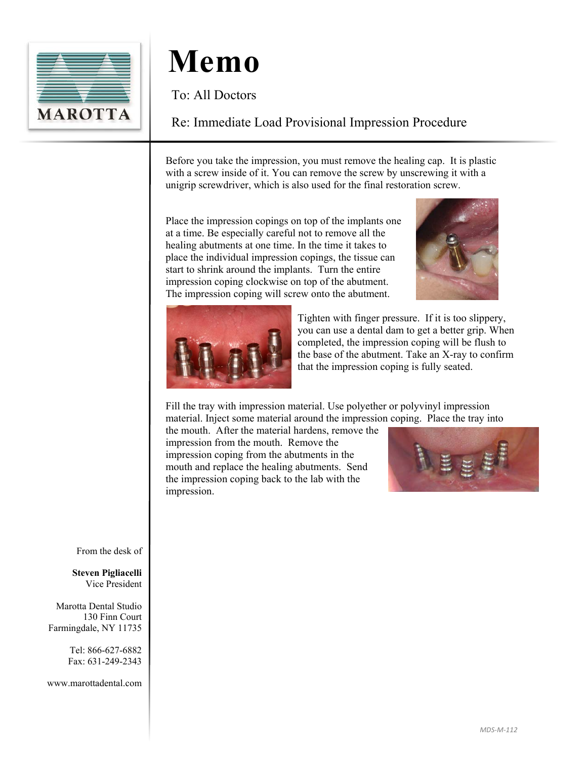

To: All Doctors

#### Re: Immediate Load Provisional Impression Procedure

Before you take the impression, you must remove the healing cap. It is plastic with a screw inside of it. You can remove the screw by unscrewing it with a unigrip screwdriver, which is also used for the final restoration screw.

Place the impression copings on top of the implants one at a time. Be especially careful not to remove all the healing abutments at one time. In the time it takes to place the individual impression copings, the tissue can start to shrink around the implants. Turn the entire impression coping clockwise on top of the abutment. The impression coping will screw onto the abutment.





Tighten with finger pressure. If it is too slippery, you can use a dental dam to get a better grip. When completed, the impression coping will be flush to the base of the abutment. Take an X-ray to confirm that the impression coping is fully seated.

Fill the tray with impression material. Use polyether or polyvinyl impression material. Inject some material around the impression coping. Place the tray into

the mouth. After the material hardens, remove the impression from the mouth. Remove the impression coping from the abutments in the mouth and replace the healing abutments. Send the impression coping back to the lab with the impression.



From the desk of

**Steven Pigliacelli**  Vice President

Marotta Dental Studio 130 Finn Court Farmingdale, NY 11735

> Tel: 866-627-6882 Fax: 631-249-2343

www.marottadental.com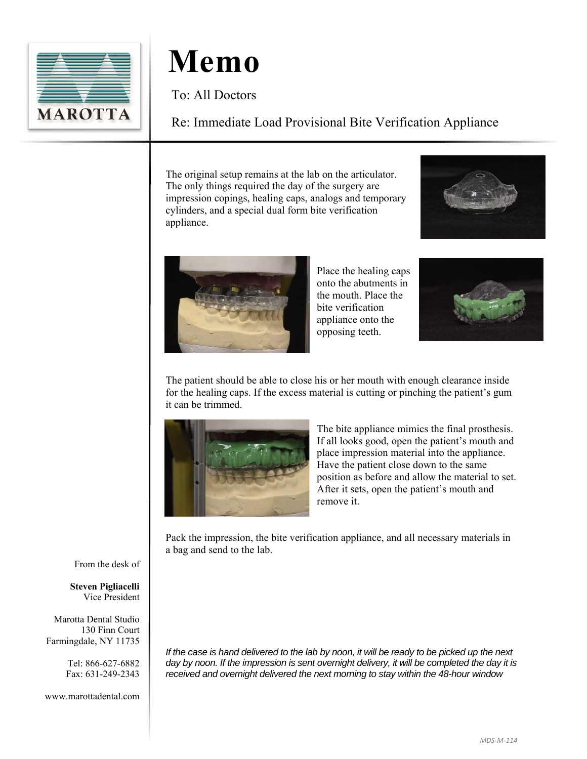

To: All Doctors

### Re: Immediate Load Provisional Bite Verification Appliance

The original setup remains at the lab on the articulator. The only things required the day of the surgery are impression copings, healing caps, analogs and temporary cylinders, and a special dual form bite verification appliance.





Place the healing caps onto the abutments in the mouth. Place the bite verification appliance onto the opposing teeth.



The patient should be able to close his or her mouth with enough clearance inside for the healing caps. If the excess material is cutting or pinching the patient's gum it can be trimmed.



The bite appliance mimics the final prosthesis. If all looks good, open the patient's mouth and place impression material into the appliance. Have the patient close down to the same position as before and allow the material to set. After it sets, open the patient's mouth and remove it.

Pack the impression, the bite verification appliance, and all necessary materials in a bag and send to the lab.

From the desk of

**Steven Pigliacelli**  Vice President

Marotta Dental Studio 130 Finn Court Farmingdale, NY 11735

> Tel: 866-627-6882 Fax: 631-249-2343

www.marottadental.com

*If the case is hand delivered to the lab by noon, it will be ready to be picked up the next day by noon. If the impression is sent overnight delivery, it will be completed the day it is received and overnight delivered the next morning to stay within the 48-hour window*